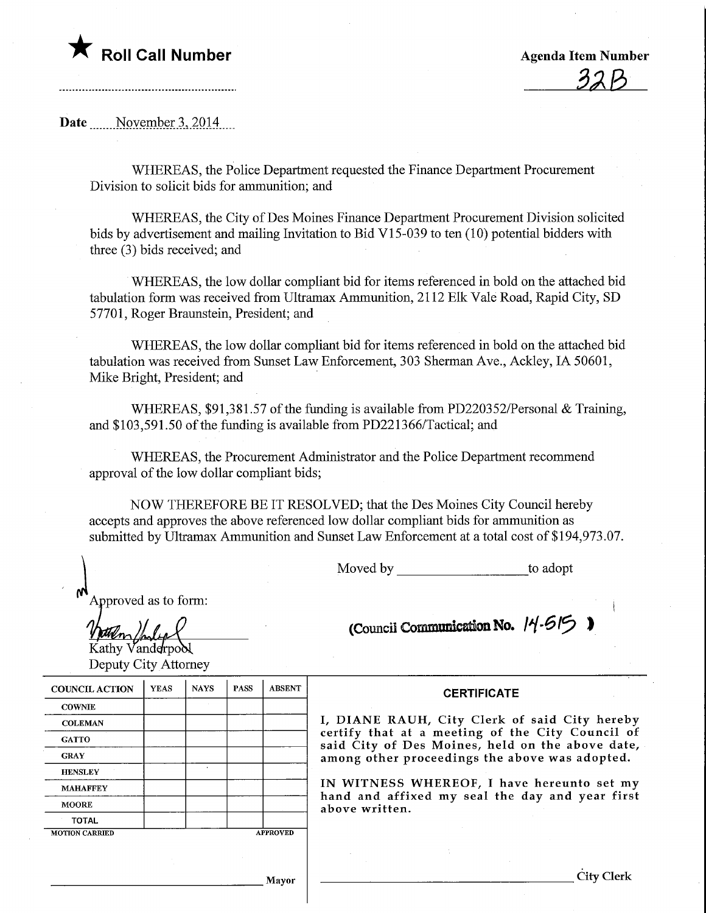

Date November 3, 2014

WHEREAS, the Police Department requested the Finance Department Procurement Division to solicit bids for ammunition; and

WHEREAS, the City of Des Moines Finance Department Procurement Division solicited bids by advertisement and mailing Invitation to Bid VI 5-039 to ten (10) potential bidders with three (3) bids received; and

WHEREAS, the low dollar compliant bid for items referenced in bold on the attached bid tabulation form was received from Ultramax Ammunition, 2112 Elk Vale Road, Rapid City, SD 57701, Roger Braunstein, President; and

WHEREAS, the low dollar compliant bid for items referenced in bold on the attached bid tabulation was received from Sunset Law Enforcement, 303 Sherman Ave., Ackley, IA 50601, Mike Bright, President; and

WHEREAS, \$91,381.57 of the funding is available from PD220352/Personal & Training, and \$103,591.50 of the funding is available from PD221366/Tactical; and

WHEREAS, the Procurement Administrator and the Police Department recommend approval of the low dollar compliant bids;

NOW THEREFORE BE IT RESOLVED; that the Des Moines City Council hereby accepts and approves the above referenced low dollar compliant bids for ammunition as submitted by Ultramax Ammunition and Sunset Law Enforcement at a total cost of \$194,973.07.

Moved by to adopt

Approved as to form:

(Council Communication No.  $14-615$ )

Kathy Vanderpool Deputy City Attorney

| <b>COUNCIL ACTION</b> | <b>YEAS</b> | <b>NAYS</b> | <b>PASS</b>     | <b>ABSENT</b> |  |  |
|-----------------------|-------------|-------------|-----------------|---------------|--|--|
| <b>COWNIE</b>         |             |             |                 |               |  |  |
| <b>COLEMAN</b>        |             |             |                 |               |  |  |
| <b>GATTO</b>          |             |             |                 |               |  |  |
| <b>GRAY</b>           |             |             |                 |               |  |  |
| <b>HENSLEY</b>        |             | ٠           |                 |               |  |  |
| <b>MAHAFFEY</b>       |             |             |                 |               |  |  |
| <b>MOORE</b>          |             |             |                 |               |  |  |
| <b>TOTAL</b>          |             |             |                 |               |  |  |
| <b>MOTION CARRIED</b> |             |             | <b>APPROVED</b> |               |  |  |

**CERTIFICATE** 

I, DIANE RAUH, City Clerk of said City hereby certify that at a meeting of the City Council of said City of Des Moines, held on the above date, among other proceedings the above was adopted.

IN WITNESS WHEREOF, I have hereunto set my hand and affixed my seal the day and year first above written.

City Clerk

Mayor